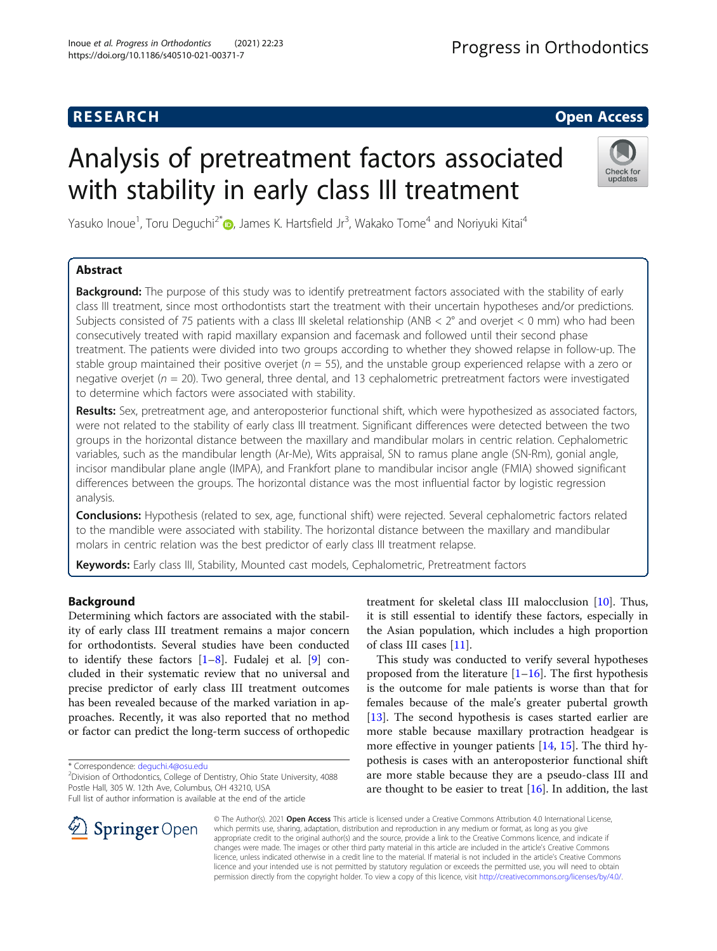# **RESEARCH CHE Open Access**

# Analysis of pretreatment factors associated with stability in early class III treatment



Yasuko Inoue<sup>1</sup>, Toru Deguchi<sup>2[\\*](http://orcid.org/0000-0002-2669-443X)</sup>®, James K. Hartsfield Jr<sup>3</sup>, Wakako Tome<sup>4</sup> and Noriyuki Kitai<sup>4</sup>

# Abstract

**Background:** The purpose of this study was to identify pretreatment factors associated with the stability of early class III treatment, since most orthodontists start the treatment with their uncertain hypotheses and/or predictions. Subjects consisted of 75 patients with a class III skeletal relationship (ANB  $<$  2° and overjet  $<$  0 mm) who had been consecutively treated with rapid maxillary expansion and facemask and followed until their second phase treatment. The patients were divided into two groups according to whether they showed relapse in follow-up. The stable group maintained their positive overjet ( $n = 55$ ), and the unstable group experienced relapse with a zero or negative overjet ( $n = 20$ ). Two general, three dental, and 13 cephalometric pretreatment factors were investigated to determine which factors were associated with stability.

Results: Sex, pretreatment age, and anteroposterior functional shift, which were hypothesized as associated factors, were not related to the stability of early class III treatment. Significant differences were detected between the two groups in the horizontal distance between the maxillary and mandibular molars in centric relation. Cephalometric variables, such as the mandibular length (Ar-Me), Wits appraisal, SN to ramus plane angle (SN-Rm), gonial angle, incisor mandibular plane angle (IMPA), and Frankfort plane to mandibular incisor angle (FMIA) showed significant differences between the groups. The horizontal distance was the most influential factor by logistic regression analysis.

Conclusions: Hypothesis (related to sex, age, functional shift) were rejected. Several cephalometric factors related to the mandible were associated with stability. The horizontal distance between the maxillary and mandibular molars in centric relation was the best predictor of early class III treatment relapse.

Keywords: Early class III, Stability, Mounted cast models, Cephalometric, Pretreatment factors

# Background

Determining which factors are associated with the stability of early class III treatment remains a major concern for orthodontists. Several studies have been conducted to identify these factors  $[1-8]$  $[1-8]$  $[1-8]$  $[1-8]$ . Fudalej et al.  $[9]$  $[9]$  concluded in their systematic review that no universal and precise predictor of early class III treatment outcomes has been revealed because of the marked variation in approaches. Recently, it was also reported that no method or factor can predict the long-term success of orthopedic

treatment for skeletal class III malocclusion [\[10](#page-6-0)]. Thus, it is still essential to identify these factors, especially in the Asian population, which includes a high proportion of class III cases [\[11\]](#page-6-0).

This study was conducted to verify several hypotheses proposed from the literature  $[1–16]$  $[1–16]$  $[1–16]$  $[1–16]$ . The first hypothesis is the outcome for male patients is worse than that for females because of the male's greater pubertal growth [[13\]](#page-7-0). The second hypothesis is cases started earlier are more stable because maxillary protraction headgear is more effective in younger patients [\[14](#page-7-0), [15](#page-7-0)]. The third hypothesis is cases with an anteroposterior functional shift are more stable because they are a pseudo-class III and are thought to be easier to treat [[16](#page-7-0)]. In addition, the last



© The Author(s). 2021 Open Access This article is licensed under a Creative Commons Attribution 4.0 International License, which permits use, sharing, adaptation, distribution and reproduction in any medium or format, as long as you give appropriate credit to the original author(s) and the source, provide a link to the Creative Commons licence, and indicate if changes were made. The images or other third party material in this article are included in the article's Creative Commons licence, unless indicated otherwise in a credit line to the material. If material is not included in the article's Creative Commons licence and your intended use is not permitted by statutory regulation or exceeds the permitted use, you will need to obtain permission directly from the copyright holder. To view a copy of this licence, visit <http://creativecommons.org/licenses/by/4.0/>.

<sup>\*</sup> Correspondence: [deguchi.4@osu.edu](mailto:deguchi.4@osu.edu) <sup>2</sup>

<sup>&</sup>lt;sup>2</sup> Division of Orthodontics, College of Dentistry, Ohio State University, 4088 Postle Hall, 305 W. 12th Ave, Columbus, OH 43210, USA Full list of author information is available at the end of the article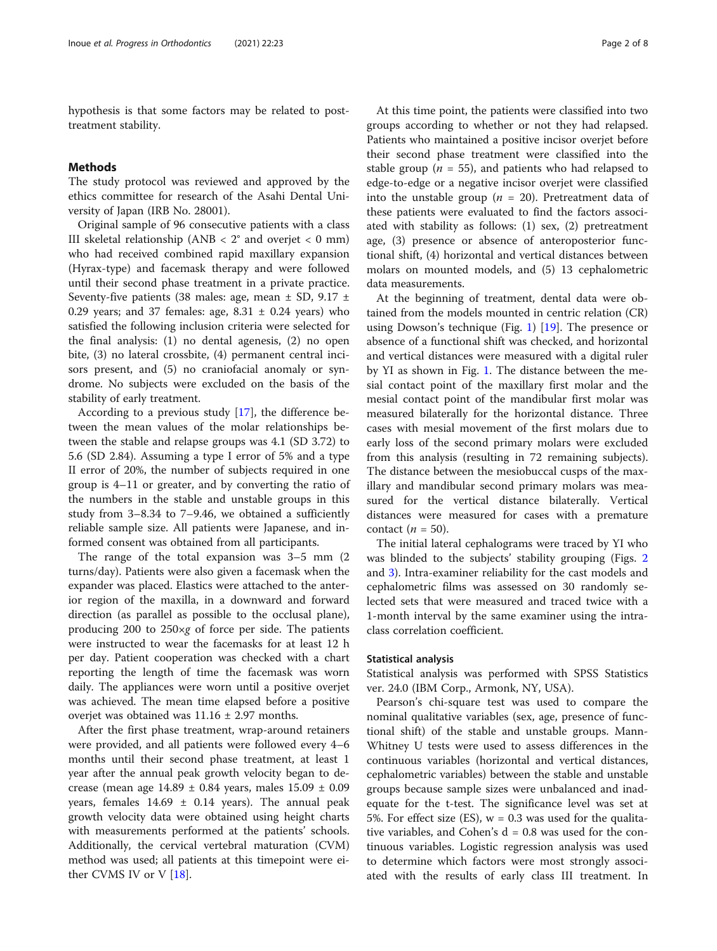hypothesis is that some factors may be related to posttreatment stability.

#### Methods

The study protocol was reviewed and approved by the ethics committee for research of the Asahi Dental University of Japan (IRB No. 28001).

Original sample of 96 consecutive patients with a class III skeletal relationship (ANB  $\langle$  2° and overjet  $\langle$  0 mm) who had received combined rapid maxillary expansion (Hyrax-type) and facemask therapy and were followed until their second phase treatment in a private practice. Seventy-five patients (38 males: age, mean  $\pm$  SD, 9.17  $\pm$ 0.29 years; and 37 females: age,  $8.31 \pm 0.24$  years) who satisfied the following inclusion criteria were selected for the final analysis: (1) no dental agenesis, (2) no open bite, (3) no lateral crossbite, (4) permanent central incisors present, and (5) no craniofacial anomaly or syndrome. No subjects were excluded on the basis of the stability of early treatment.

According to a previous study [\[17\]](#page-7-0), the difference between the mean values of the molar relationships between the stable and relapse groups was 4.1 (SD 3.72) to 5.6 (SD 2.84). Assuming a type I error of 5% and a type II error of 20%, the number of subjects required in one group is 4–11 or greater, and by converting the ratio of the numbers in the stable and unstable groups in this study from 3–8.34 to 7–9.46, we obtained a sufficiently reliable sample size. All patients were Japanese, and informed consent was obtained from all participants.

The range of the total expansion was 3–5 mm (2 turns/day). Patients were also given a facemask when the expander was placed. Elastics were attached to the anterior region of the maxilla, in a downward and forward direction (as parallel as possible to the occlusal plane), producing 200 to 250×g of force per side. The patients were instructed to wear the facemasks for at least 12 h per day. Patient cooperation was checked with a chart reporting the length of time the facemask was worn daily. The appliances were worn until a positive overjet was achieved. The mean time elapsed before a positive overjet was obtained was 11.16 ± 2.97 months.

After the first phase treatment, wrap-around retainers were provided, and all patients were followed every 4–6 months until their second phase treatment, at least 1 year after the annual peak growth velocity began to decrease (mean age  $14.89 \pm 0.84$  years, males  $15.09 \pm 0.09$ years, females  $14.69 \pm 0.14$  years). The annual peak growth velocity data were obtained using height charts with measurements performed at the patients' schools. Additionally, the cervical vertebral maturation (CVM) method was used; all patients at this timepoint were either CVMS IV or V [\[18](#page-7-0)].

At this time point, the patients were classified into two groups according to whether or not they had relapsed. Patients who maintained a positive incisor overjet before their second phase treatment were classified into the stable group ( $n = 55$ ), and patients who had relapsed to edge-to-edge or a negative incisor overjet were classified into the unstable group ( $n = 20$ ). Pretreatment data of these patients were evaluated to find the factors associated with stability as follows: (1) sex, (2) pretreatment age, (3) presence or absence of anteroposterior functional shift, (4) horizontal and vertical distances between molars on mounted models, and (5) 13 cephalometric data measurements.

At the beginning of treatment, dental data were obtained from the models mounted in centric relation (CR) using Dowson's technique (Fig. [1](#page-2-0)) [\[19](#page-7-0)]. The presence or absence of a functional shift was checked, and horizontal and vertical distances were measured with a digital ruler by YI as shown in Fig. [1.](#page-2-0) The distance between the mesial contact point of the maxillary first molar and the mesial contact point of the mandibular first molar was measured bilaterally for the horizontal distance. Three cases with mesial movement of the first molars due to early loss of the second primary molars were excluded from this analysis (resulting in 72 remaining subjects). The distance between the mesiobuccal cusps of the maxillary and mandibular second primary molars was measured for the vertical distance bilaterally. Vertical distances were measured for cases with a premature contact  $(n = 50)$ .

The initial lateral cephalograms were traced by YI who was blinded to the subjects' stability grouping (Figs. [2](#page-2-0) and [3\)](#page-3-0). Intra-examiner reliability for the cast models and cephalometric films was assessed on 30 randomly selected sets that were measured and traced twice with a 1-month interval by the same examiner using the intraclass correlation coefficient.

#### Statistical analysis

Statistical analysis was performed with SPSS Statistics ver. 24.0 (IBM Corp., Armonk, NY, USA).

Pearson's chi-square test was used to compare the nominal qualitative variables (sex, age, presence of functional shift) of the stable and unstable groups. Mann-Whitney U tests were used to assess differences in the continuous variables (horizontal and vertical distances, cephalometric variables) between the stable and unstable groups because sample sizes were unbalanced and inadequate for the t-test. The significance level was set at 5%. For effect size (ES),  $w = 0.3$  was used for the qualitative variables, and Cohen's  $d = 0.8$  was used for the continuous variables. Logistic regression analysis was used to determine which factors were most strongly associated with the results of early class III treatment. In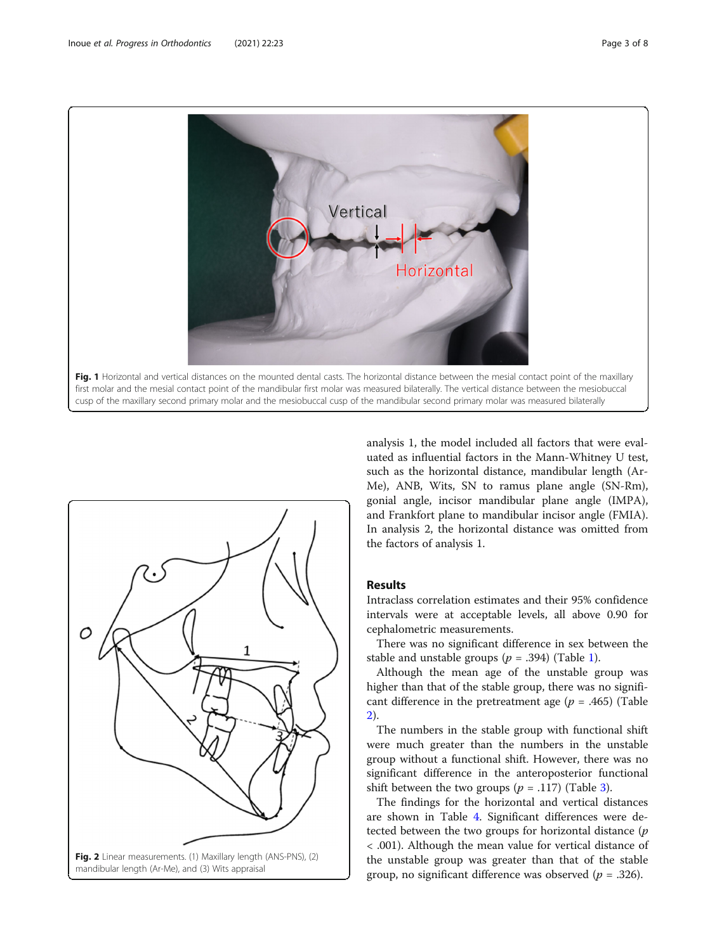<span id="page-2-0"></span>



analysis 1, the model included all factors that were evaluated as influential factors in the Mann-Whitney U test, such as the horizontal distance, mandibular length (Ar-Me), ANB, Wits, SN to ramus plane angle (SN-Rm), gonial angle, incisor mandibular plane angle (IMPA), and Frankfort plane to mandibular incisor angle (FMIA). In analysis 2, the horizontal distance was omitted from the factors of analysis 1.

#### Results

Intraclass correlation estimates and their 95% confidence intervals were at acceptable levels, all above 0.90 for cephalometric measurements.

There was no significant difference in sex between the stable and unstable groups ( $p = .394$ ) (Table [1\)](#page-3-0).

Although the mean age of the unstable group was higher than that of the stable group, there was no significant difference in the pretreatment age ( $p = .465$ ) (Table [2\)](#page-3-0).

The numbers in the stable group with functional shift were much greater than the numbers in the unstable group without a functional shift. However, there was no significant difference in the anteroposterior functional shift between the two groups ( $p = .117$ ) (Table [3\)](#page-3-0).

The findings for the horizontal and vertical distances are shown in Table [4](#page-4-0). Significant differences were detected between the two groups for horizontal distance  $(p)$ < .001). Although the mean value for vertical distance of the unstable group was greater than that of the stable group, no significant difference was observed ( $p = .326$ ).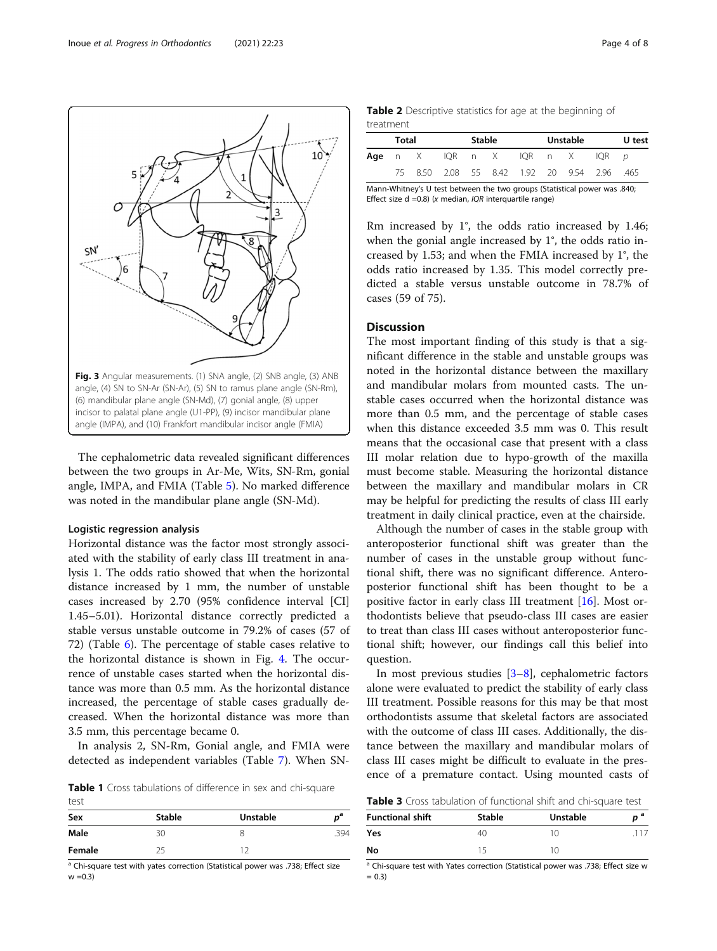The cephalometric data revealed significant differences between the two groups in Ar-Me, Wits, SN-Rm, gonial angle, IMPA, and FMIA (Table [5\)](#page-4-0). No marked difference was noted in the mandibular plane angle (SN-Md).

#### Logistic regression analysis

Horizontal distance was the factor most strongly associated with the stability of early class III treatment in analysis 1. The odds ratio showed that when the horizontal distance increased by 1 mm, the number of unstable cases increased by 2.70 (95% confidence interval [CI] 1.45–5.01). Horizontal distance correctly predicted a stable versus unstable outcome in 79.2% of cases (57 of 72) (Table [6](#page-5-0)). The percentage of stable cases relative to the horizontal distance is shown in Fig. [4.](#page-5-0) The occurrence of unstable cases started when the horizontal distance was more than 0.5 mm. As the horizontal distance increased, the percentage of stable cases gradually decreased. When the horizontal distance was more than 3.5 mm, this percentage became 0.

In analysis 2, SN-Rm, Gonial angle, and FMIA were detected as independent variables (Table [7](#page-6-0)). When SN-

Table 1 Cross tabulations of difference in sex and chi-square test

| Sex    | <b>Stable</b> | Unstable | р <sup>а</sup> |
|--------|---------------|----------|----------------|
| Male   | 30            |          | .394           |
| Female | つに            |          |                |

<sup>a</sup> Chi-square test with yates correction (Statistical power was .738; Effect size  $w = 0.3$ 

| <b>Table 2</b> Descriptive statistics for age at the beginning of |  |  |  |
|-------------------------------------------------------------------|--|--|--|
| treatment                                                         |  |  |  |

| Total |  | <b>Stable</b> |                                             |  | Unstable | U test |
|-------|--|---------------|---------------------------------------------|--|----------|--------|
|       |  |               | <b>Age</b> n XIQR n XIQR n XIQR <i>p</i>    |  |          |        |
|       |  |               | 75 8.50 2.08 55 8.42 1.92 20 9.54 2.96 .465 |  |          |        |

Mann-Whitney's U test between the two groups (Statistical power was .840; Effect size  $d = 0.8$ ) (x median, IQR interquartile range)

Rm increased by 1°, the odds ratio increased by 1.46; when the gonial angle increased by 1°, the odds ratio increased by 1.53; and when the FMIA increased by 1°, the odds ratio increased by 1.35. This model correctly predicted a stable versus unstable outcome in 78.7% of cases (59 of 75).

### Discussion

The most important finding of this study is that a significant difference in the stable and unstable groups was noted in the horizontal distance between the maxillary and mandibular molars from mounted casts. The unstable cases occurred when the horizontal distance was more than 0.5 mm, and the percentage of stable cases when this distance exceeded 3.5 mm was 0. This result means that the occasional case that present with a class III molar relation due to hypo-growth of the maxilla must become stable. Measuring the horizontal distance between the maxillary and mandibular molars in CR may be helpful for predicting the results of class III early treatment in daily clinical practice, even at the chairside.

Although the number of cases in the stable group with anteroposterior functional shift was greater than the number of cases in the unstable group without functional shift, there was no significant difference. Anteroposterior functional shift has been thought to be a positive factor in early class III treatment [\[16\]](#page-7-0). Most orthodontists believe that pseudo-class III cases are easier to treat than class III cases without anteroposterior functional shift; however, our findings call this belief into question.

In most previous studies  $[3-8]$  $[3-8]$  $[3-8]$ , cephalometric factors alone were evaluated to predict the stability of early class III treatment. Possible reasons for this may be that most orthodontists assume that skeletal factors are associated with the outcome of class III cases. Additionally, the distance between the maxillary and mandibular molars of class III cases might be difficult to evaluate in the presence of a premature contact. Using mounted casts of

Table 3 Cross tabulation of functional shift and chi-square test

|                         |               | .               |  |
|-------------------------|---------------|-----------------|--|
| <b>Functional shift</b> | <b>Stable</b> | <b>Unstable</b> |  |
| Yes                     | 40            | 10              |  |
| No                      | 15            | 10              |  |

<sup>a</sup> Chi-square test with Yates correction (Statistical power was .738; Effect size w  $= 0.3$ 

<span id="page-3-0"></span>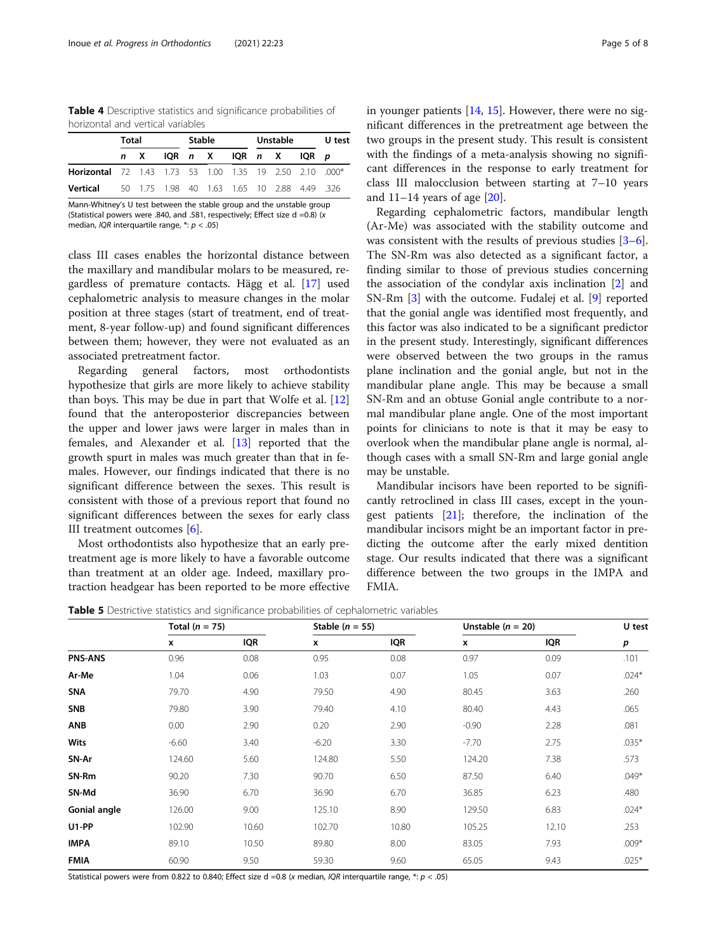<span id="page-4-0"></span>Table 4 Descriptive statistics and significance probabilities of horizontal and vertical variables

|                                                                | <b>Total</b> |                                             | Stable |  |                     | Unstable |  |  | U test |  |
|----------------------------------------------------------------|--------------|---------------------------------------------|--------|--|---------------------|----------|--|--|--------|--|
|                                                                |              | n X                                         |        |  | IQR n XIQR n XIQR p |          |  |  |        |  |
| <b>Horizontal</b> 72 1.43 1.73 53 1.00 1.35 19 2.50 2.10 .000* |              |                                             |        |  |                     |          |  |  |        |  |
| Vertical                                                       |              | 50 1.75 1.98 40 1.63 1.65 10 2.88 4.49 3.26 |        |  |                     |          |  |  |        |  |

Mann-Whitney's U test between the stable group and the unstable group (Statistical powers were .840, and .581, respectively; Effect size d =0.8) (x median, *IQR* interquartile range,  $* : p < .05$ )

class III cases enables the horizontal distance between the maxillary and mandibular molars to be measured, regardless of premature contacts. Hägg et al. [[17](#page-7-0)] used cephalometric analysis to measure changes in the molar position at three stages (start of treatment, end of treatment, 8-year follow-up) and found significant differences between them; however, they were not evaluated as an associated pretreatment factor.

Regarding general factors, most orthodontists hypothesize that girls are more likely to achieve stability than boys. This may be due in part that Wolfe et al.  $[12]$  $[12]$  $[12]$ found that the anteroposterior discrepancies between the upper and lower jaws were larger in males than in females, and Alexander et al. [[13\]](#page-7-0) reported that the growth spurt in males was much greater than that in females. However, our findings indicated that there is no significant difference between the sexes. This result is consistent with those of a previous report that found no significant differences between the sexes for early class III treatment outcomes [[6\]](#page-6-0).

Most orthodontists also hypothesize that an early pretreatment age is more likely to have a favorable outcome than treatment at an older age. Indeed, maxillary protraction headgear has been reported to be more effective

in younger patients  $[14, 15]$  $[14, 15]$  $[14, 15]$  $[14, 15]$ . However, there were no significant differences in the pretreatment age between the two groups in the present study. This result is consistent with the findings of a meta-analysis showing no significant differences in the response to early treatment for class III malocclusion between starting at 7–10 years and  $11-14$  years of age  $[20]$  $[20]$ .

Regarding cephalometric factors, mandibular length (Ar-Me) was associated with the stability outcome and was consistent with the results of previous studies [\[3](#page-6-0)–[6](#page-6-0)]. The SN-Rm was also detected as a significant factor, a finding similar to those of previous studies concerning the association of the condylar axis inclination [\[2](#page-6-0)] and SN-Rm [[3\]](#page-6-0) with the outcome. Fudalej et al. [\[9](#page-6-0)] reported that the gonial angle was identified most frequently, and this factor was also indicated to be a significant predictor in the present study. Interestingly, significant differences were observed between the two groups in the ramus plane inclination and the gonial angle, but not in the mandibular plane angle. This may be because a small SN-Rm and an obtuse Gonial angle contribute to a normal mandibular plane angle. One of the most important points for clinicians to note is that it may be easy to overlook when the mandibular plane angle is normal, although cases with a small SN-Rm and large gonial angle may be unstable.

Mandibular incisors have been reported to be significantly retroclined in class III cases, except in the youngest patients  $[21]$  $[21]$  $[21]$ ; therefore, the inclination of the mandibular incisors might be an important factor in predicting the outcome after the early mixed dentition stage. Our results indicated that there was a significant difference between the two groups in the IMPA and FMIA.

Table 5 Destrictive statistics and significance probabilities of cephalometric variables

|                     | Total $(n = 75)$ |       |         | Stable ( $n = 55$ ) |         | Unstable $(n = 20)$ | U test  |  |
|---------------------|------------------|-------|---------|---------------------|---------|---------------------|---------|--|
|                     | x                | IQR   | x       | <b>IQR</b>          | x       | <b>IQR</b>          | р       |  |
| <b>PNS-ANS</b>      | 0.96             | 0.08  | 0.95    | 0.08                | 0.97    | 0.09                | .101    |  |
| Ar-Me               | 1.04             | 0.06  | 1.03    | 0.07                | 1.05    | 0.07                | $.024*$ |  |
| <b>SNA</b>          | 79.70            | 4.90  | 79.50   | 4.90                | 80.45   | 3.63                | .260    |  |
| <b>SNB</b>          | 79.80            | 3.90  | 79.40   | 4.10                | 80.40   | 4.43                | .065    |  |
| ANB                 | 0.00             | 2.90  | 0.20    | 2.90                | $-0.90$ | 2.28                | .081    |  |
| <b>Wits</b>         | $-6.60$          | 3.40  | $-6.20$ | 3.30                | $-7.70$ | 2.75                | $.035*$ |  |
| SN-Ar               | 124.60           | 5.60  | 124.80  | 5.50                | 124.20  | 7.38                | .573    |  |
| SN-Rm               | 90.20            | 7.30  | 90.70   | 6.50                | 87.50   | 6.40                | $.049*$ |  |
| SN-Md               | 36.90            | 6.70  | 36.90   | 6.70                | 36.85   | 6.23                | .480    |  |
| <b>Gonial angle</b> | 126.00           | 9.00  | 125.10  | 8.90                | 129.50  | 6.83                | $.024*$ |  |
| U1-PP               | 102.90           | 10.60 | 102.70  | 10.80               | 105.25  | 12.10               | .253    |  |
| <b>IMPA</b>         | 89.10            | 10.50 | 89.80   | 8.00                | 83.05   | 7.93                | $.009*$ |  |
| <b>FMIA</b>         | 60.90            | 9.50  | 59.30   | 9.60                | 65.05   | 9.43                | $.025*$ |  |

Statistical powers were from 0.822 to 0.840; Effect size d =0.8 (x median, IQR interquartile range, \*: p < .05)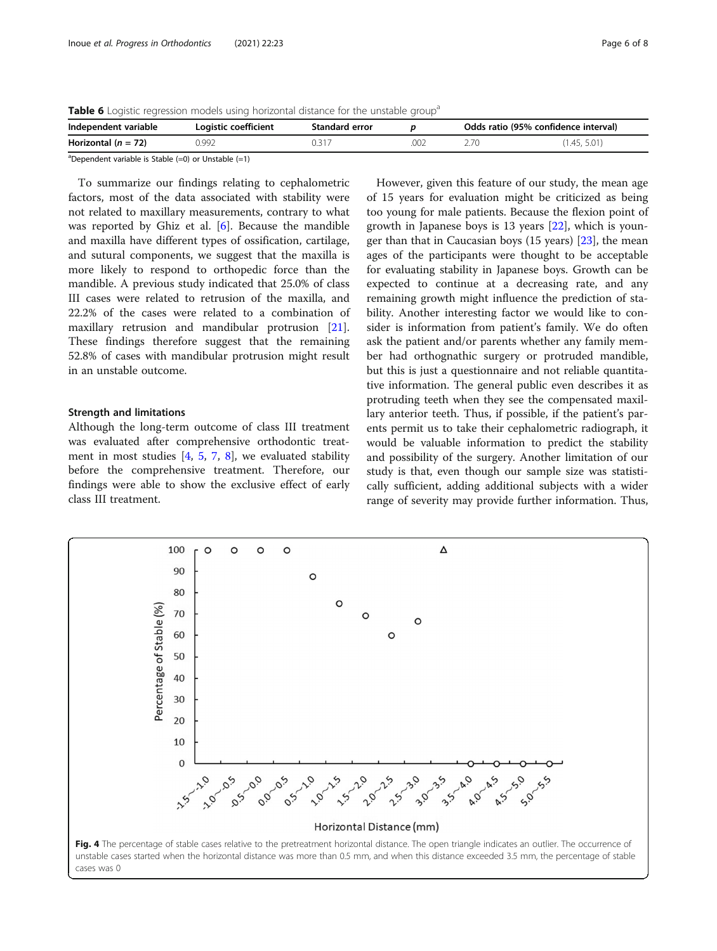<span id="page-5-0"></span>Table 6 Logistic regression models using horizontal distance for the unstable group<sup>2</sup>

| Independent variable                                                                                                                                                      | Logistic coefficient | Standard error |  | Odds ratio (95% confidence interval) |              |  |
|---------------------------------------------------------------------------------------------------------------------------------------------------------------------------|----------------------|----------------|--|--------------------------------------|--------------|--|
| Horizontal ( $n = 72$ )                                                                                                                                                   | 0.992                | 0.31           |  |                                      | (1.45, 5.01) |  |
| $\partial \mathbf{p}$ , and the contract of $\partial \mathbf{p}$ and $\partial \mathbf{p}$ and $\partial \mathbf{p}$ and $\partial \mathbf{p}$ and $\partial \mathbf{p}$ |                      |                |  |                                      |              |  |

<sup>a</sup>Dependent variable is Stable (=0) or Unstable (=1)

To summarize our findings relating to cephalometric factors, most of the data associated with stability were not related to maxillary measurements, contrary to what was reported by Ghiz et al. [\[6](#page-6-0)]. Because the mandible and maxilla have different types of ossification, cartilage, and sutural components, we suggest that the maxilla is more likely to respond to orthopedic force than the mandible. A previous study indicated that 25.0% of class III cases were related to retrusion of the maxilla, and 22.2% of the cases were related to a combination of maxillary retrusion and mandibular protrusion [\[21](#page-7-0)]. These findings therefore suggest that the remaining 52.8% of cases with mandibular protrusion might result in an unstable outcome.

#### Strength and limitations

Although the long-term outcome of class III treatment was evaluated after comprehensive orthodontic treatment in most studies  $[4, 5, 7, 8]$  $[4, 5, 7, 8]$  $[4, 5, 7, 8]$  $[4, 5, 7, 8]$  $[4, 5, 7, 8]$  $[4, 5, 7, 8]$  $[4, 5, 7, 8]$  $[4, 5, 7, 8]$ , we evaluated stability before the comprehensive treatment. Therefore, our findings were able to show the exclusive effect of early class III treatment.

However, given this feature of our study, the mean age of 15 years for evaluation might be criticized as being too young for male patients. Because the flexion point of growth in Japanese boys is 13 years [[22\]](#page-7-0), which is younger than that in Caucasian boys (15 years) [\[23](#page-7-0)], the mean ages of the participants were thought to be acceptable for evaluating stability in Japanese boys. Growth can be expected to continue at a decreasing rate, and any remaining growth might influence the prediction of stability. Another interesting factor we would like to consider is information from patient's family. We do often ask the patient and/or parents whether any family member had orthognathic surgery or protruded mandible, but this is just a questionnaire and not reliable quantitative information. The general public even describes it as protruding teeth when they see the compensated maxillary anterior teeth. Thus, if possible, if the patient's parents permit us to take their cephalometric radiograph, it would be valuable information to predict the stability and possibility of the surgery. Another limitation of our study is that, even though our sample size was statistically sufficient, adding additional subjects with a wider range of severity may provide further information. Thus,

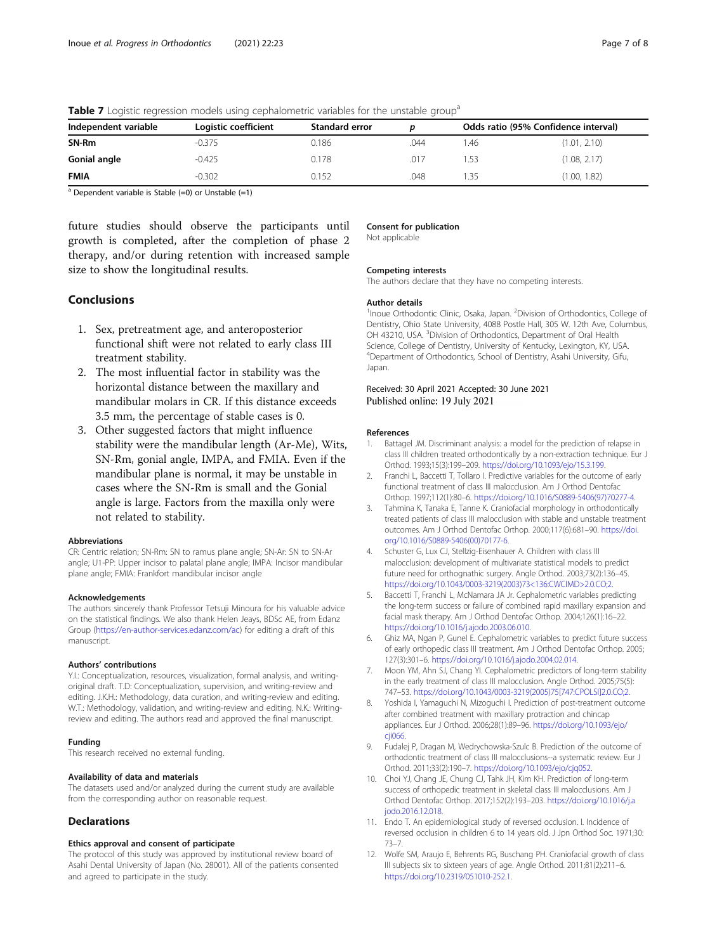| Independent variable | Logistic coefficient | <b>Standard error</b> |      | Odds ratio (95% Confidence interval) |              |  |
|----------------------|----------------------|-----------------------|------|--------------------------------------|--------------|--|
| SN-Rm                | $-0.375$             | 0.186                 | .044 | .46                                  | (1.01, 2.10) |  |
| Gonial angle         | $-0.425$             | 0.178                 | .017 | .53                                  | (1.08, 2.17) |  |
| <b>FMIA</b>          | $-0.302$             | 0.152                 | .048 | .35                                  | (1.00, 1.82) |  |

<span id="page-6-0"></span>Table 7 Logistic regression models using cephalometric variables for the unstable group<sup>a</sup>

 $a$  Dependent variable is Stable (=0) or Unstable (=1)

future studies should observe the participants until growth is completed, after the completion of phase 2 therapy, and/or during retention with increased sample size to show the longitudinal results.

#### **Conclusions**

- 1. Sex, pretreatment age, and anteroposterior functional shift were not related to early class III treatment stability.
- 2. The most influential factor in stability was the horizontal distance between the maxillary and mandibular molars in CR. If this distance exceeds 3.5 mm, the percentage of stable cases is 0.
- 3. Other suggested factors that might influence stability were the mandibular length (Ar-Me), Wits, SN-Rm, gonial angle, IMPA, and FMIA. Even if the mandibular plane is normal, it may be unstable in cases where the SN-Rm is small and the Gonial angle is large. Factors from the maxilla only were not related to stability.

#### Abbreviations

CR: Centric relation; SN-Rm: SN to ramus plane angle; SN-Ar: SN to SN-Ar angle; U1-PP: Upper incisor to palatal plane angle; IMPA: Incisor mandibular plane angle; FMIA: Frankfort mandibular incisor angle

#### Acknowledgements

The authors sincerely thank Professor Tetsuji Minoura for his valuable advice on the statistical findings. We also thank Helen Jeays, BDSc AE, from Edanz Group (<https://en-author-services.edanz.com/ac>) for editing a draft of this manuscript.

#### Authors' contributions

Y.I.: Conceptualization, resources, visualization, formal analysis, and writingoriginal draft. T.D: Conceptualization, supervision, and writing-review and editing. J.K.H.: Methodology, data curation, and writing-review and editing. W.T.: Methodology, validation, and writing-review and editing. N.K.: Writingreview and editing. The authors read and approved the final manuscript.

#### Funding

This research received no external funding.

#### Availability of data and materials

The datasets used and/or analyzed during the current study are available from the corresponding author on reasonable request.

#### **Declarations**

#### Ethics approval and consent of participate

The protocol of this study was approved by institutional review board of Asahi Dental University of Japan (No. 28001). All of the patients consented and agreed to participate in the study.

#### Consent for publication

Not applicable

#### Competing interests

The authors declare that they have no competing interests.

#### Author details

<sup>1</sup> Inoue Orthodontic Clinic, Osaka, Japan. <sup>2</sup> Division of Orthodontics, College of Dentistry, Ohio State University, 4088 Postle Hall, 305 W. 12th Ave, Columbus, OH 43210, USA. <sup>3</sup> Division of Orthodontics, Department of Oral Health Science, College of Dentistry, University of Kentucky, Lexington, KY, USA. 4 Department of Orthodontics, School of Dentistry, Asahi University, Gifu, Japan.

#### Received: 30 April 2021 Accepted: 30 June 2021 Published online: 19 July 2021

#### References

- Battagel JM. Discriminant analysis: a model for the prediction of relapse in class III children treated orthodontically by a non-extraction technique. Eur J Orthod. 1993;15(3):199–209. [https://doi.org/10.1093/ejo/15.3.199.](https://doi.org/10.1093/ejo/15.3.199)
- 2. Franchi L, Baccetti T, Tollaro I. Predictive variables for the outcome of early functional treatment of class III malocclusion. Am J Orthod Dentofac Orthop. 1997;112(1):80–6. [https://doi.org/10.1016/S0889-5406\(97\)70277-4.](https://doi.org/10.1016/S0889-5406(97)70277-4)
- 3. Tahmina K, Tanaka E, Tanne K. Craniofacial morphology in orthodontically treated patients of class III malocclusion with stable and unstable treatment outcomes. Am J Orthod Dentofac Orthop. 2000;117(6):681–90. [https://doi.](https://doi.org/10.1016/S0889-5406(00)70177-6) [org/10.1016/S0889-5406\(00\)70177-6.](https://doi.org/10.1016/S0889-5406(00)70177-6)
- 4. Schuster G, Lux CJ, Stellzig-Eisenhauer A. Children with class III malocclusion: development of multivariate statistical models to predict future need for orthognathic surgery. Angle Orthod. 2003;73(2):136–45. [https://doi.org/10.1043/0003-3219\(2003\)73<136:CWCIMD>2.0.CO;2](https://doi.org/10.1043/0003-3219(2003)73<136:CWCIMD>2.0.CO;2).
- 5. Baccetti T, Franchi L, McNamara JA Jr. Cephalometric variables predicting the long-term success or failure of combined rapid maxillary expansion and facial mask therapy. Am J Orthod Dentofac Orthop. 2004;126(1):16–22. [https://doi.org/10.1016/j.ajodo.2003.06.010.](https://doi.org/10.1016/j.ajodo.2003.06.010)
- 6. Ghiz MA, Ngan P, Gunel E. Cephalometric variables to predict future success of early orthopedic class III treatment. Am J Orthod Dentofac Orthop. 2005; 127(3):301–6. <https://doi.org/10.1016/j.ajodo.2004.02.014>.
- 7. Moon YM, Ahn SJ, Chang YI. Cephalometric predictors of long-term stability in the early treatment of class III malocclusion. Angle Orthod. 2005;75(5): 747–53. [https://doi.org/10.1043/0003-3219\(2005\)75\[747:CPOLSI\]2.0.CO;2](https://doi.org/10.1043/0003-3219(2005)75[747:CPOLSI]2.0.CO;2).
- Yoshida I, Yamaguchi N, Mizoguchi I. Prediction of post-treatment outcome after combined treatment with maxillary protraction and chincap appliances. Eur J Orthod. 2006;28(1):89–96. [https://doi.org/10.1093/ejo/](https://doi.org/10.1093/ejo/cji066) [cji066](https://doi.org/10.1093/ejo/cji066).
- 9. Fudalej P, Dragan M, Wedrychowska-Szulc B. Prediction of the outcome of orthodontic treatment of class III malocclusions--a systematic review. Eur J Orthod. 2011;33(2):190–7. <https://doi.org/10.1093/ejo/cjq052>.
- 10. Choi YJ, Chang JE, Chung CJ, Tahk JH, Kim KH. Prediction of long-term success of orthopedic treatment in skeletal class III malocclusions. Am J Orthod Dentofac Orthop. 2017;152(2):193–203. [https://doi.org/10.1016/j.a](https://doi.org/10.1016/j.ajodo.2016.12.018) [jodo.2016.12.018.](https://doi.org/10.1016/j.ajodo.2016.12.018)
- 11. Endo T. An epidemiological study of reversed occlusion. I. Incidence of reversed occlusion in children 6 to 14 years old. J Jpn Orthod Soc. 1971;30: 73–7.
- 12. Wolfe SM, Araujo E, Behrents RG, Buschang PH. Craniofacial growth of class III subjects six to sixteen years of age. Angle Orthod. 2011;81(2):211–6. <https://doi.org/10.2319/051010-252.1>.